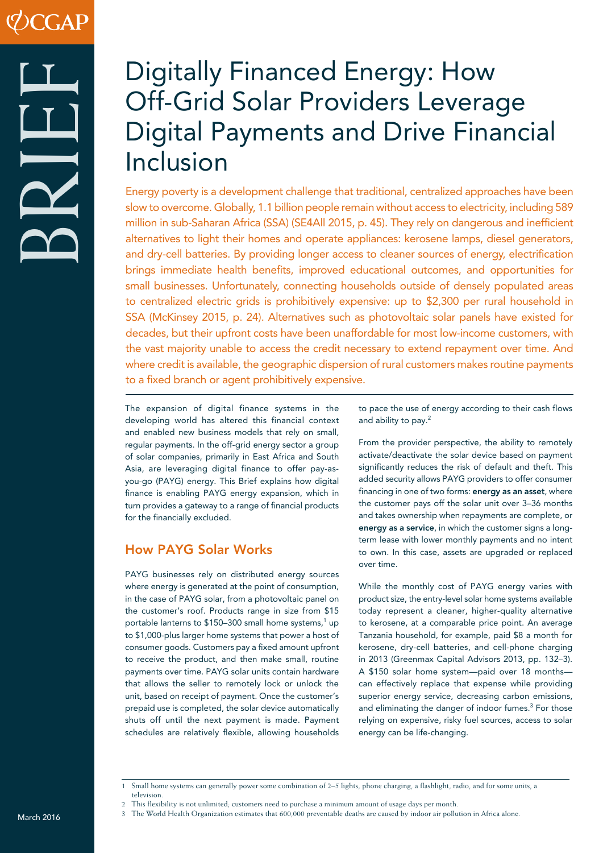# BRIEF

# Digitally Financed Energy: How Off-Grid Solar Providers Leverage Digital Payments and Drive Financial Inclusion

Energy poverty is a development challenge that traditional, centralized approaches have been slow to overcome. Globally, 1.1 billion people remain without access to electricity, including 589 million in sub-Saharan Africa (SSA) (SE4All 2015, p. 45). They rely on dangerous and inefficient alternatives to light their homes and operate appliances: kerosene lamps, diesel generators, and dry-cell batteries. By providing longer access to cleaner sources of energy, electrification brings immediate health benefits, improved educational outcomes, and opportunities for small businesses. Unfortunately, connecting households outside of densely populated areas to centralized electric grids is prohibitively expensive: up to \$2,300 per rural household in SSA (McKinsey 2015, p. 24). Alternatives such as photovoltaic solar panels have existed for decades, but their upfront costs have been unaffordable for most low-income customers, with the vast majority unable to access the credit necessary to extend repayment over time. And where credit is available, the geographic dispersion of rural customers makes routine payments to a fixed branch or agent prohibitively expensive.

The expansion of digital finance systems in the developing world has altered this financial context and enabled new business models that rely on small, regular payments. In the off-grid energy sector a group of solar companies, primarily in East Africa and South Asia, are leveraging digital finance to offer pay-asyou-go (PAYG) energy. This Brief explains how digital finance is enabling PAYG energy expansion, which in turn provides a gateway to a range of financial products for the financially excluded.

# How PAYG Solar Works

PAYG businesses rely on distributed energy sources where energy is generated at the point of consumption, in the case of PAYG solar, from a photovoltaic panel on the customer's roof. Products range in size from \$15 portable lanterns to \$150–300 small home systems,<sup>1</sup> up to \$1,000-plus larger home systems that power a host of consumer goods. Customers pay a fixed amount upfront to receive the product, and then make small, routine payments over time. PAYG solar units contain hardware that allows the seller to remotely lock or unlock the unit, based on receipt of payment. Once the customer's prepaid use is completed, the solar device automatically shuts off until the next payment is made. Payment schedules are relatively flexible, allowing households to pace the use of energy according to their cash flows and ability to pay.2

From the provider perspective, the ability to remotely activate/deactivate the solar device based on payment significantly reduces the risk of default and theft. This added security allows PAYG providers to offer consumer financing in one of two forms: energy as an asset, where the customer pays off the solar unit over 3–36 months and takes ownership when repayments are complete, or energy as a service, in which the customer signs a longterm lease with lower monthly payments and no intent to own. In this case, assets are upgraded or replaced over time.

While the monthly cost of PAYG energy varies with product size, the entry-level solar home systems available today represent a cleaner, higher-quality alternative to kerosene, at a comparable price point. An average Tanzania household, for example, paid \$8 a month for kerosene, dry-cell batteries, and cell-phone charging in 2013 (Greenmax Capital Advisors 2013, pp. 132–3). A \$150 solar home system—paid over 18 months can effectively replace that expense while providing superior energy service, decreasing carbon emissions, and eliminating the danger of indoor fumes.<sup>3</sup> For those relying on expensive, risky fuel sources, access to solar energy can be life-changing.

<sup>1</sup> Small home systems can generally power some combination of 2–5 lights, phone charging, a flashlight, radio, and for some units, a television.

<sup>2</sup> This flexibility is not unlimited; customers need to purchase a minimum amount of usage days per month.

March 2016 3 The World Health Organization estimates that 600,000 preventable deaths are caused by indoor air pollution in Africa alone.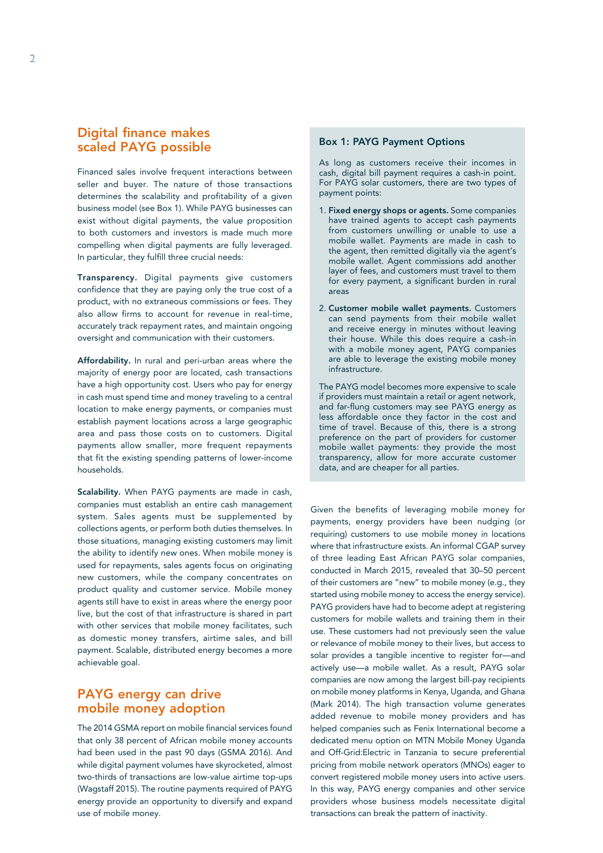# Digital finance makes scaled PAYG possible

Financed sales involve frequent interactions between seller and buyer. The nature of those transactions determines the scalability and profitability of a given business model (see Box 1). While PAYG businesses can exist without digital payments, the value proposition to both customers and investors is made much more compelling when digital payments are fully leveraged. In particular, they fulfill three crucial needs:

Transparency. Digital payments give customers confidence that they are paying only the true cost of a product, with no extraneous commissions or fees. They also allow firms to account for revenue in real-time, accurately track repayment rates, and maintain ongoing oversight and communication with their customers.

Affordability. In rural and peri-urban areas where the majority of energy poor are located, cash transactions have a high opportunity cost. Users who pay for energy in cash must spend time and money traveling to a central location to make energy payments, or companies must establish payment locations across a large geographic area and pass those costs on to customers. Digital payments allow smaller, more frequent repayments that fit the existing spending patterns of lower-income households.

Scalability. When PAYG payments are made in cash, companies must establish an entire cash management system. Sales agents must be supplemented by collections agents, or perform both duties themselves. In those situations, managing existing customers may limit the ability to identify new ones. When mobile money is used for repayments, sales agents focus on originating new customers, while the company concentrates on product quality and customer service. Mobile money agents still have to exist in areas where the energy poor live, but the cost of that infrastructure is shared in part with other services that mobile money facilitates, such as domestic money transfers, airtime sales, and bill payment. Scalable, distributed energy becomes a more achievable goal.

## PAYG energy can drive mobile money adoption

The 2014 GSMA report on mobile financial services found that only 38 percent of African mobile money accounts had been used in the past 90 days (GSMA 2016). And while digital payment volumes have skyrocketed, almost two-thirds of transactions are low-value airtime top-ups (Wagstaff 2015). The routine payments required of PAYG energy provide an opportunity to diversify and expand use of mobile money.

#### Box 1: PAYG Payment Options

As long as customers receive their incomes in cash, digital bill payment requires a cash-in point. For PAYG solar customers, there are two types of payment points:

- 1. Fixed energy shops or agents. Some companies have trained agents to accept cash payments from customers unwilling or unable to use a mobile wallet. Payments are made in cash to the agent, then remitted digitally via the agent's mobile wallet. Agent commissions add another layer of fees, and customers must travel to them for every payment, a significant burden in rural areas
- 2. Customer mobile wallet payments. Customers can send payments from their mobile wallet and receive energy in minutes without leaving their house. While this does require a cash-in with a mobile money agent, PAYG companies are able to leverage the existing mobile money infrastructure.

The PAYG model becomes more expensive to scale if providers must maintain a retail or agent network, and far-flung customers may see PAYG energy as less affordable once they factor in the cost and time of travel. Because of this, there is a strong preference on the part of providers for customer mobile wallet payments: they provide the most transparency, allow for more accurate customer data, and are cheaper for all parties.

Given the benefits of leveraging mobile money for payments, energy providers have been nudging (or requiring) customers to use mobile money in locations where that infrastructure exists. An informal CGAP survey of three leading East African PAYG solar companies, conducted in March 2015, revealed that 30–50 percent of their customers are "new" to mobile money (e.g., they started using mobile money to access the energy service). PAYG providers have had to become adept at registering customers for mobile wallets and training them in their use. These customers had not previously seen the value or relevance of mobile money to their lives, but access to solar provides a tangible incentive to register for—and actively use—a mobile wallet. As a result, PAYG solar companies are now among the largest bill-pay recipients on mobile money platforms in Kenya, Uganda, and Ghana (Mark 2014). The high transaction volume generates added revenue to mobile money providers and has helped companies such as Fenix International become a dedicated menu option on MTN Mobile Money Uganda and Off-Grid:Electric in Tanzania to secure preferential pricing from mobile network operators (MNOs) eager to convert registered mobile money users into active users. In this way, PAYG energy companies and other service providers whose business models necessitate digital transactions can break the pattern of inactivity.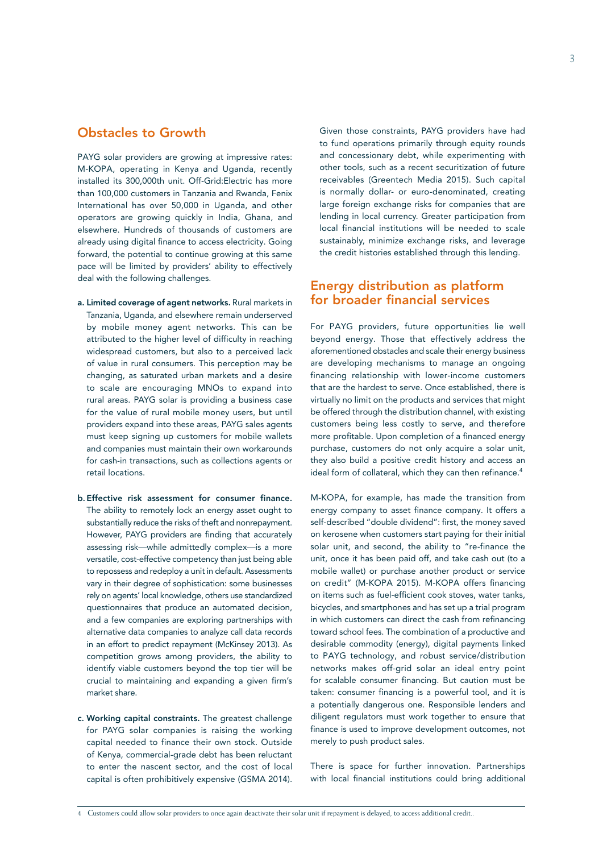# Obstacles to Growth

PAYG solar providers are growing at impressive rates: M-KOPA, operating in Kenya and Uganda, recently installed its 300,000th unit. Off-Grid:Electric has more than 100,000 customers in Tanzania and Rwanda, Fenix International has over 50,000 in Uganda, and other operators are growing quickly in India, Ghana, and elsewhere. Hundreds of thousands of customers are already using digital finance to access electricity. Going forward, the potential to continue growing at this same pace will be limited by providers' ability to effectively deal with the following challenges.

- a. Limited coverage of agent networks. Rural markets in Tanzania, Uganda, and elsewhere remain underserved by mobile money agent networks. This can be attributed to the higher level of difficulty in reaching widespread customers, but also to a perceived lack of value in rural consumers. This perception may be changing, as saturated urban markets and a desire to scale are encouraging MNOs to expand into rural areas. PAYG solar is providing a business case for the value of rural mobile money users, but until providers expand into these areas, PAYG sales agents must keep signing up customers for mobile wallets and companies must maintain their own workarounds for cash-in transactions, such as collections agents or retail locations.
- b.Effective risk assessment for consumer finance. The ability to remotely lock an energy asset ought to substantially reduce the risks of theft and nonrepayment. However, PAYG providers are finding that accurately assessing risk—while admittedly complex—is a more versatile, cost-effective competency than just being able to repossess and redeploy a unit in default. Assessments vary in their degree of sophistication: some businesses rely on agents' local knowledge, others use standardized questionnaires that produce an automated decision, and a few companies are exploring partnerships with alternative data companies to analyze call data records in an effort to predict repayment (McKinsey 2013). As competition grows among providers, the ability to identify viable customers beyond the top tier will be crucial to maintaining and expanding a given firm's market share.
- c. Working capital constraints. The greatest challenge for PAYG solar companies is raising the working capital needed to finance their own stock. Outside of Kenya, commercial-grade debt has been reluctant to enter the nascent sector, and the cost of local capital is often prohibitively expensive (GSMA 2014).

Given those constraints, PAYG providers have had to fund operations primarily through equity rounds and concessionary debt, while experimenting with other tools, such as a recent securitization of future receivables (Greentech Media 2015). Such capital is normally dollar- or euro-denominated, creating large foreign exchange risks for companies that are lending in local currency. Greater participation from local financial institutions will be needed to scale sustainably, minimize exchange risks, and leverage the credit histories established through this lending.

### Energy distribution as platform for broader financial services

For PAYG providers, future opportunities lie well beyond energy. Those that effectively address the aforementioned obstacles and scale their energy business are developing mechanisms to manage an ongoing financing relationship with lower-income customers that are the hardest to serve. Once established, there is virtually no limit on the products and services that might be offered through the distribution channel, with existing customers being less costly to serve, and therefore more profitable. Upon completion of a financed energy purchase, customers do not only acquire a solar unit, they also build a positive credit history and access an ideal form of collateral, which they can then refinance.<sup>4</sup>

M-KOPA, for example, has made the transition from energy company to asset finance company. It offers a self-described "double dividend": first, the money saved on kerosene when customers start paying for their initial solar unit, and second, the ability to "re-finance the unit, once it has been paid off, and take cash out (to a mobile wallet) or purchase another product or service on credit" (M-KOPA 2015). M-KOPA offers financing on items such as fuel-efficient cook stoves, water tanks, bicycles, and smartphones and has set up a trial program in which customers can direct the cash from refinancing toward school fees. The combination of a productive and desirable commodity (energy), digital payments linked to PAYG technology, and robust service/distribution networks makes off-grid solar an ideal entry point for scalable consumer financing. But caution must be taken: consumer financing is a powerful tool, and it is a potentially dangerous one. Responsible lenders and diligent regulators must work together to ensure that finance is used to improve development outcomes, not merely to push product sales.

There is space for further innovation. Partnerships with local financial institutions could bring additional

<sup>4</sup> Customers could allow solar providers to once again deactivate their solar unit if repayment is delayed, to access additional credit..